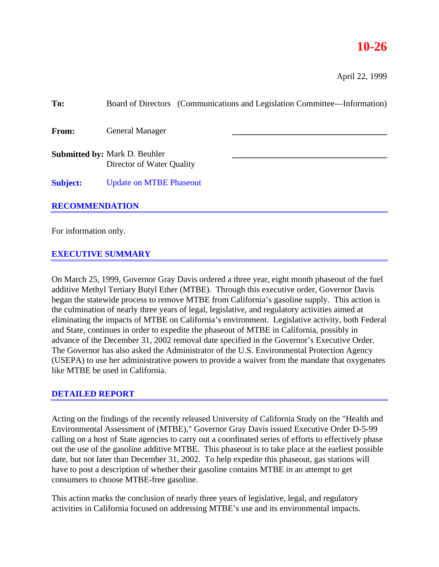# **10-26**

April 22, 1999

| To:                   |                                                                   | Board of Directors (Communications and Legislation Committee—Information) |  |
|-----------------------|-------------------------------------------------------------------|---------------------------------------------------------------------------|--|
| <b>From:</b>          | <b>General Manager</b>                                            |                                                                           |  |
|                       | <b>Submitted by: Mark D. Beuhler</b><br>Director of Water Quality |                                                                           |  |
| <b>Subject:</b>       | <b>Update on MTBE Phaseout</b>                                    |                                                                           |  |
| <b>RECOMMENDATION</b> |                                                                   |                                                                           |  |

## For information only.

#### **EXECUTIVE SUMMARY**

On March 25, 1999, Governor Gray Davis ordered a three year, eight month phaseout of the fuel additive Methyl Tertiary Butyl Ether (MTBE). Through this executive order, Governor Davis began the statewide process to remove MTBE from California's gasoline supply. This action is the culmination of nearly three years of legal, legislative, and regulatory activities aimed at eliminating the impacts of MTBE on California's environment. Legislative activity, both Federal and State, continues in order to expedite the phaseout of MTBE in California, possibly in advance of the December 31, 2002 removal date specified in the Governor's Executive Order. The Governor has also asked the Administrator of the U.S. Environmental Protection Agency (USEPA) to use her administrative powers to provide a waiver from the mandate that oxygenates like MTBE be used in California.

#### **DETAILED REPORT**

Acting on the findings of the recently released University of California Study on the "Health and Environmental Assessment of (MTBE)," Governor Gray Davis issued Executive Order D-5-99 calling on a host of State agencies to carry out a coordinated series of efforts to effectively phase out the use of the gasoline additive MTBE. This phaseout is to take place at the earliest possible date, but not later than December 31, 2002. To help expedite this phaseout, gas stations will have to post a description of whether their gasoline contains MTBE in an attempt to get consumers to choose MTBE-free gasoline.

This action marks the conclusion of nearly three years of legislative, legal, and regulatory activities in California focused on addressing MTBE's use and its environmental impacts.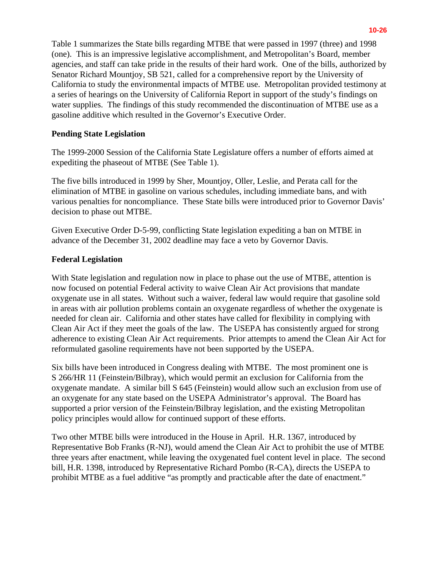Table 1 summarizes the State bills regarding MTBE that were passed in 1997 (three) and 1998 (one). This is an impressive legislative accomplishment, and Metropolitan's Board, member agencies, and staff can take pride in the results of their hard work. One of the bills, authorized by Senator Richard Mountjoy, SB 521, called for a comprehensive report by the University of California to study the environmental impacts of MTBE use. Metropolitan provided testimony at a series of hearings on the University of California Report in support of the study's findings on water supplies. The findings of this study recommended the discontinuation of MTBE use as a gasoline additive which resulted in the Governor's Executive Order.

#### **Pending State Legislation**

The 1999-2000 Session of the California State Legislature offers a number of efforts aimed at expediting the phaseout of MTBE (See Table 1).

The five bills introduced in 1999 by Sher, Mountjoy, Oller, Leslie, and Perata call for the elimination of MTBE in gasoline on various schedules, including immediate bans, and with various penalties for noncompliance. These State bills were introduced prior to Governor Davis' decision to phase out MTBE.

Given Executive Order D-5-99, conflicting State legislation expediting a ban on MTBE in advance of the December 31, 2002 deadline may face a veto by Governor Davis.

#### **Federal Legislation**

With State legislation and regulation now in place to phase out the use of MTBE, attention is now focused on potential Federal activity to waive Clean Air Act provisions that mandate oxygenate use in all states. Without such a waiver, federal law would require that gasoline sold in areas with air pollution problems contain an oxygenate regardless of whether the oxygenate is needed for clean air. California and other states have called for flexibility in complying with Clean Air Act if they meet the goals of the law. The USEPA has consistently argued for strong adherence to existing Clean Air Act requirements. Prior attempts to amend the Clean Air Act for reformulated gasoline requirements have not been supported by the USEPA.

Six bills have been introduced in Congress dealing with MTBE. The most prominent one is S 266/HR 11 (Feinstein/Bilbray), which would permit an exclusion for California from the oxygenate mandate. A similar bill S 645 (Feinstein) would allow such an exclusion from use of an oxygenate for any state based on the USEPA Administrator's approval. The Board has supported a prior version of the Feinstein/Bilbray legislation, and the existing Metropolitan policy principles would allow for continued support of these efforts.

Two other MTBE bills were introduced in the House in April. H.R. 1367, introduced by Representative Bob Franks (R-NJ), would amend the Clean Air Act to prohibit the use of MTBE three years after enactment, while leaving the oxygenated fuel content level in place. The second bill, H.R. 1398, introduced by Representative Richard Pombo (R-CA), directs the USEPA to prohibit MTBE as a fuel additive "as promptly and practicable after the date of enactment."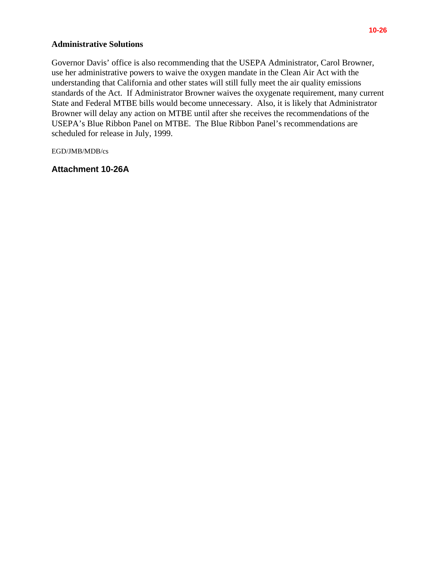## **Administrative Solutions**

Governor Davis' office is also recommending that the USEPA Administrator, Carol Browner, use her administrative powers to waive the oxygen mandate in the Clean Air Act with the understanding that California and other states will still fully meet the air quality emissions standards of the Act. If Administrator Browner waives the oxygenate requirement, many current State and Federal MTBE bills would become unnecessary. Also, it is likely that Administrator Browner will delay any action on MTBE until after she receives the recommendations of the USEPA's Blue Ribbon Panel on MTBE. The Blue Ribbon Panel's recommendations are scheduled for release in July, 1999.

EGD/JMB/MDB/cs

#### **Attachment 10-26A**